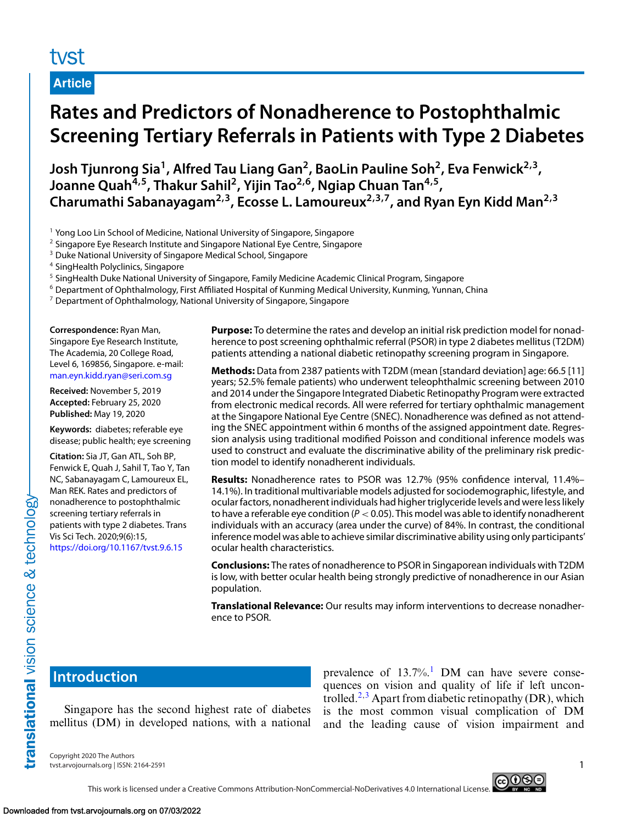# tyst

**Article**

# **Rates and Predictors of Nonadherence to Postophthalmic Screening Tertiary Referrals in Patients with Type 2 Diabetes**

Josh Tjunrong Sia<sup>1</sup>, Alfred Tau Liang Gan<sup>2</sup>, BaoLin Pauline Soh<sup>2</sup>, Eva Fenwick<sup>2,3</sup>, **Joanne Quah4,5, Thakur Sahil2, Yijin Tao2,6, Ngiap Chuan Tan4,5, Charumathi Sabanayagam2,3, Ecosse L. Lamoureux2,3,7, and Ryan Eyn Kidd Man2,3**

<sup>1</sup> Yong Loo Lin School of Medicine, National University of Singapore, Singapore

<sup>2</sup> Singapore Eye Research Institute and Singapore National Eye Centre, Singapore

<sup>3</sup> Duke National University of Singapore Medical School, Singapore

<sup>4</sup> SingHealth Polyclinics, Singapore

<sup>5</sup> SingHealth Duke National University of Singapore, Family Medicine Academic Clinical Program, Singapore

<sup>6</sup> Department of Ophthalmology, First Affiliated Hospital of Kunming Medical University, Kunming, Yunnan, China

 $7$  Department of Ophthalmology, National University of Singapore, Singapore

**Correspondence:** Ryan Man, Singapore Eye Research Institute, The Academia, 20 College Road, Level 6, 169856, Singapore. e-mail: [man.eyn.kidd.ryan@seri.com.sg](mailto:man.eyn.kidd.ryan@seri.com.sg)

**Received:** November 5, 2019 **Accepted:** February 25, 2020 **Published:** May 19, 2020

**Keywords:** diabetes; referable eye disease; public health; eye screening

**Citation:** Sia JT, Gan ATL, Soh BP, Fenwick E, Quah J, Sahil T, Tao Y, Tan NC, Sabanayagam C, Lamoureux EL, Man REK. Rates and predictors of nonadherence to postophthalmic screening tertiary referrals in patients with type 2 diabetes. Trans Vis Sci Tech. 2020;9(6):15, <https://doi.org/10.1167/tvst.9.6.15>

**Purpose:** To determine the rates and develop an initial risk prediction model for nonadherence to post screening ophthalmic referral (PSOR) in type 2 diabetes mellitus (T2DM) patients attending a national diabetic retinopathy screening program in Singapore.

**Methods:** Data from 2387 patients with T2DM (mean [standard deviation] age: 66.5 [11] years; 52.5% female patients) who underwent teleophthalmic screening between 2010 and 2014 under the Singapore Integrated Diabetic Retinopathy Program were extracted from electronic medical records. All were referred for tertiary ophthalmic management at the Singapore National Eye Centre (SNEC). Nonadherence was defined as not attending the SNEC appointment within 6 months of the assigned appointment date. Regression analysis using traditional modified Poisson and conditional inference models was used to construct and evaluate the discriminative ability of the preliminary risk prediction model to identify nonadherent individuals.

**Results:** Nonadherence rates to PSOR was 12.7% (95% confidence interval, 11.4%– 14.1%). In traditional multivariable models adjusted for sociodemographic, lifestyle, and ocular factors, nonadherent individuals had higher triglyceride levels and were less likely to have a referable eye condition (*P* < 0.05). This model was able to identify nonadherent individuals with an accuracy (area under the curve) of 84%. In contrast, the conditional inference model was able to achieve similar discriminative ability using only participants' ocular health characteristics.

**Conclusions:** The rates of nonadherence to PSOR in Singaporean individuals with T2DM is low, with better ocular health being strongly predictive of nonadherence in our Asian population.

**Translational Relevance:** Our results may inform interventions to decrease nonadherence to PSOR.

# **Introduction**

translational vision science & technology

Singapore has the second highest rate of diabetes mellitus (DM) in developed nations, with a national

prevalence of  $13.7\%$  $13.7\%$ .<sup>1</sup> DM can have severe consequences on vision and quality of life if left uncon-trolled.<sup>[2,3](#page-7-0)</sup> Apart from diabetic retinopathy (DR), which is the most common visual complication of DM and the leading cause of vision impairment and

Copyright 2020 The Authors tvst.arvojournals.org | ISSN: 2164-2591 1

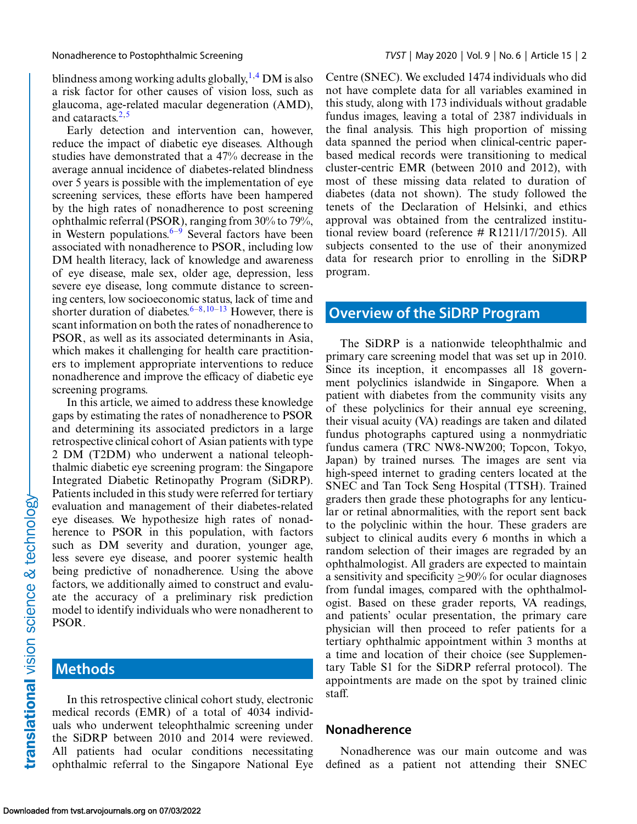blindness among working adults globally,  $^{1,4}$  $^{1,4}$  $^{1,4}$  DM is also a risk factor for other causes of vision loss, such as glaucoma, age-related macular degeneration (AMD), and cataracts. $2,5$ 

Early detection and intervention can, however, reduce the impact of diabetic eye diseases. Although studies have demonstrated that a 47% decrease in the average annual incidence of diabetes-related blindness over 5 years is possible with the implementation of eye screening services, these efforts have been hampered by the high rates of nonadherence to post screening ophthalmic referral (PSOR), ranging from 30% to 79%, in Western populations. $6-9$  Several factors have been associated with nonadherence to PSOR, including low DM health literacy, lack of knowledge and awareness of eye disease, male sex, older age, depression, less severe eye disease, long commute distance to screening centers, low socioeconomic status, lack of time and shorter duration of diabetes.<sup>6–8,10–13</sup> However, there is scant information on both the rates of nonadherence to PSOR, as well as its associated determinants in Asia, which makes it challenging for health care practitioners to implement appropriate interventions to reduce nonadherence and improve the efficacy of diabetic eye screening programs.

In this article, we aimed to address these knowledge gaps by estimating the rates of nonadherence to PSOR and determining its associated predictors in a large retrospective clinical cohort of Asian patients with type 2 DM (T2DM) who underwent a national teleophthalmic diabetic eye screening program: the Singapore Integrated Diabetic Retinopathy Program (SiDRP). Patients included in this study were referred for tertiary evaluation and management of their diabetes-related eye diseases. We hypothesize high rates of nonadherence to PSOR in this population, with factors such as DM severity and duration, younger age, less severe eye disease, and poorer systemic health being predictive of nonadherence. Using the above factors, we additionally aimed to construct and evaluate the accuracy of a preliminary risk prediction model to identify individuals who were nonadherent to PSOR.

# **Methods**

In this retrospective clinical cohort study, electronic medical records (EMR) of a total of 4034 individuals who underwent teleophthalmic screening under the SiDRP between 2010 and 2014 were reviewed. All patients had ocular conditions necessitating ophthalmic referral to the Singapore National Eye Centre (SNEC). We excluded 1474 individuals who did not have complete data for all variables examined in this study, along with 173 individuals without gradable fundus images, leaving a total of 2387 individuals in the final analysis. This high proportion of missing data spanned the period when clinical-centric paperbased medical records were transitioning to medical cluster-centric EMR (between 2010 and 2012), with most of these missing data related to duration of diabetes (data not shown). The study followed the tenets of the Declaration of Helsinki, and ethics approval was obtained from the centralized institutional review board (reference # R1211/17/2015). All subjects consented to the use of their anonymized data for research prior to enrolling in the SiDRP program.

## **Overview of the SiDRP Program**

The SiDRP is a nationwide teleophthalmic and primary care screening model that was set up in 2010. Since its inception, it encompasses all 18 government polyclinics islandwide in Singapore. When a patient with diabetes from the community visits any of these polyclinics for their annual eye screening, their visual acuity (VA) readings are taken and dilated fundus photographs captured using a nonmydriatic fundus camera (TRC NW8-NW200; Topcon, Tokyo, Japan) by trained nurses. The images are sent via high-speed internet to grading centers located at the SNEC and Tan Tock Seng Hospital (TTSH). Trained graders then grade these photographs for any lenticular or retinal abnormalities, with the report sent back to the polyclinic within the hour. These graders are subject to clinical audits every 6 months in which a random selection of their images are regraded by an ophthalmologist. All graders are expected to maintain a sensitivity and specificity  $\geq 90\%$  for ocular diagnoses from fundal images, compared with the ophthalmologist. Based on these grader reports, VA readings, and patients' ocular presentation, the primary care physician will then proceed to refer patients for a tertiary ophthalmic appointment within 3 months at a time and location of their choice (see Supplementary Table S1 for the SiDRP referral protocol). The appointments are made on the spot by trained clinic staff.

#### **Nonadherence**

Nonadherence was our main outcome and was defined as a patient not attending their SNEC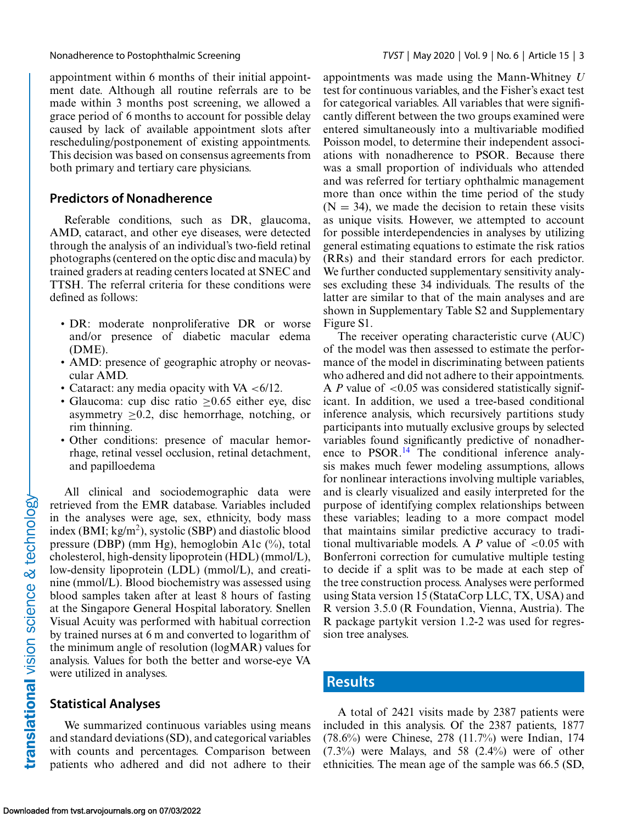appointment within 6 months of their initial appointment date. Although all routine referrals are to be made within 3 months post screening, we allowed a grace period of 6 months to account for possible delay caused by lack of available appointment slots after rescheduling/postponement of existing appointments. This decision was based on consensus agreements from both primary and tertiary care physicians.

#### **Predictors of Nonadherence**

Referable conditions, such as DR, glaucoma, AMD, cataract, and other eye diseases, were detected through the analysis of an individual's two-field retinal photographs (centered on the optic disc and macula) by trained graders at reading centers located at SNEC and TTSH. The referral criteria for these conditions were defined as follows:

- DR: moderate nonproliferative DR or worse and/or presence of diabetic macular edema (DME).
- AMD: presence of geographic atrophy or neovascular AMD.
- Cataract: any media opacity with VA  $<6/12$ .
- Glaucoma: cup disc ratio > 0.65 either eye, disc asymmetry  $>0.2$ , disc hemorrhage, notching, or rim thinning.
- Other conditions: presence of macular hemorrhage, retinal vessel occlusion, retinal detachment, and papilloedema

All clinical and sociodemographic data were retrieved from the EMR database. Variables included in the analyses were age, sex, ethnicity, body mass index (BMI;  $kg/m<sup>2</sup>$ ), systolic (SBP) and diastolic blood pressure (DBP) (mm Hg), hemoglobin A1c (%), total cholesterol, high-density lipoprotein (HDL) (mmol/L), low-density lipoprotein (LDL) (mmol/L), and creatinine (mmol/L). Blood biochemistry was assessed using blood samples taken after at least 8 hours of fasting at the Singapore General Hospital laboratory. Snellen Visual Acuity was performed with habitual correction by trained nurses at 6 m and converted to logarithm of the minimum angle of resolution (logMAR) values for analysis. Values for both the better and worse-eye VA were utilized in analyses.

#### **Statistical Analyses**

We summarized continuous variables using means and standard deviations (SD), and categorical variables with counts and percentages. Comparison between patients who adhered and did not adhere to their appointments was made using the Mann-Whitney *U* test for continuous variables, and the Fisher's exact test for categorical variables. All variables that were significantly different between the two groups examined were entered simultaneously into a multivariable modified Poisson model, to determine their independent associations with nonadherence to PSOR. Because there was a small proportion of individuals who attended and was referred for tertiary ophthalmic management more than once within the time period of the study  $(N = 34)$ , we made the decision to retain these visits as unique visits. However, we attempted to account for possible interdependencies in analyses by utilizing general estimating equations to estimate the risk ratios (RRs) and their standard errors for each predictor. We further conducted supplementary sensitivity analyses excluding these 34 individuals. The results of the latter are similar to that of the main analyses and are shown in Supplementary Table S2 and Supplementary Figure S1.

The receiver operating characteristic curve (AUC) of the model was then assessed to estimate the performance of the model in discriminating between patients who adhered and did not adhere to their appointments. A *P* value of <0.05 was considered statistically significant. In addition, we used a tree-based conditional inference analysis, which recursively partitions study participants into mutually exclusive groups by selected variables found significantly predictive of nonadher-ence to PSOR.<sup>[14](#page-7-0)</sup> The conditional inference analysis makes much fewer modeling assumptions, allows for nonlinear interactions involving multiple variables, and is clearly visualized and easily interpreted for the purpose of identifying complex relationships between these variables; leading to a more compact model that maintains similar predictive accuracy to traditional multivariable models. A  $P$  value of  $\lt 0.05$  with Bonferroni correction for cumulative multiple testing to decide if a split was to be made at each step of the tree construction process. Analyses were performed using Stata version 15 (StataCorp LLC, TX, USA) and R version 3.5.0 (R Foundation, Vienna, Austria). The R package partykit version 1.2-2 was used for regression tree analyses.

### **Results**

A total of 2421 visits made by 2387 patients were included in this analysis. Of the 2387 patients, 1877 (78.6%) were Chinese, 278 (11.7%) were Indian, 174  $(7.3\%)$  were Malays, and 58  $(2.4\%)$  were of other ethnicities. The mean age of the sample was 66.5 (SD,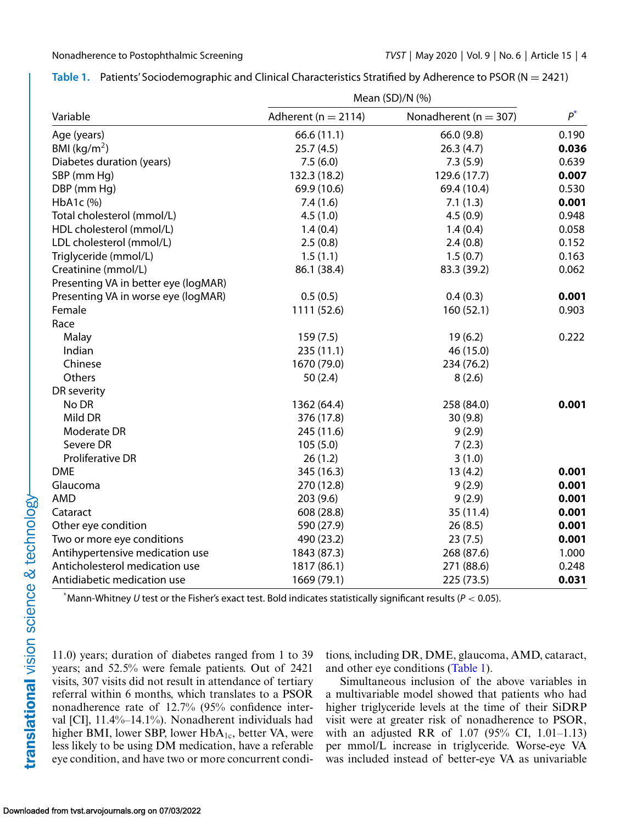|                                      | Mean (SD)/N (%)         |                           |       |
|--------------------------------------|-------------------------|---------------------------|-------|
| Variable                             | Adherent ( $n = 2114$ ) | Nonadherent ( $n = 307$ ) | $P^*$ |
| Age (years)                          | 66.6 (11.1)             | 66.0(9.8)                 | 0.190 |
| BMI ( $\text{kg/m}^2$ )              | 25.7(4.5)               | 26.3(4.7)                 | 0.036 |
| Diabetes duration (years)            | 7.5(6.0)                | 7.3(5.9)                  | 0.639 |
| SBP (mm Hg)                          | 132.3 (18.2)            | 129.6 (17.7)              | 0.007 |
| DBP (mm Hg)                          | 69.9 (10.6)             | 69.4 (10.4)               | 0.530 |
| $HbA1c$ (%)                          | 7.4(1.6)                | 7.1(1.3)                  | 0.001 |
| Total cholesterol (mmol/L)           | 4.5(1.0)                | 4.5(0.9)                  | 0.948 |
| HDL cholesterol (mmol/L)             | 1.4(0.4)                | 1.4(0.4)                  | 0.058 |
| LDL cholesterol (mmol/L)             | 2.5(0.8)                | 2.4(0.8)                  | 0.152 |
| Triglyceride (mmol/L)                | 1.5(1.1)                | 1.5(0.7)                  | 0.163 |
| Creatinine (mmol/L)                  | 86.1 (38.4)             | 83.3 (39.2)               | 0.062 |
| Presenting VA in better eye (logMAR) |                         |                           |       |
| Presenting VA in worse eye (logMAR)  | 0.5(0.5)                | 0.4(0.3)                  | 0.001 |
| Female                               | 1111 (52.6)             | 160 (52.1)                | 0.903 |
| Race                                 |                         |                           |       |
| Malay                                | 159(7.5)                | 19(6.2)                   | 0.222 |
| Indian                               | 235(11.1)               | 46 (15.0)                 |       |
| Chinese                              | 1670 (79.0)             | 234 (76.2)                |       |
| Others                               | 50(2.4)                 | 8(2.6)                    |       |
| DR severity                          |                         |                           |       |
| No DR                                | 1362 (64.4)             | 258 (84.0)                | 0.001 |
| Mild DR                              | 376 (17.8)              | 30(9.8)                   |       |
| Moderate DR                          | 245 (11.6)              | 9(2.9)                    |       |
| Severe DR                            | 105(5.0)                | 7(2.3)                    |       |
| <b>Proliferative DR</b>              | 26(1.2)                 | 3(1.0)                    |       |
| <b>DME</b>                           | 345 (16.3)              | 13(4.2)                   | 0.001 |
| Glaucoma                             | 270 (12.8)              | 9(2.9)                    | 0.001 |
| <b>AMD</b>                           | 203(9.6)                | 9(2.9)                    | 0.001 |
| Cataract                             | 608 (28.8)              | 35(11.4)                  | 0.001 |
| Other eye condition                  | 590 (27.9)              | 26(8.5)                   | 0.001 |
| Two or more eye conditions           | 490 (23.2)              | 23(7.5)                   | 0.001 |
| Antihypertensive medication use      | 1843 (87.3)             | 268 (87.6)                | 1.000 |
| Anticholesterol medication use       | 1817 (86.1)             | 271 (88.6)                | 0.248 |
| Antidiabetic medication use          | 1669 (79.1)             | 225 (73.5)                | 0.031 |

| Table 1. Patients' Sociodemographic and Clinical Characteristics Stratified by Adherence to PSOR ( $N = 2421$ ) |  |
|-----------------------------------------------------------------------------------------------------------------|--|
|-----------------------------------------------------------------------------------------------------------------|--|

\* Mann-Whitney *U* test or the Fisher's exact test. Bold indicates statistically significant results (*P* < 0.05).

11.0) years; duration of diabetes ranged from 1 to 39 years; and 52.5% were female patients. Out of 2421 visits, 307 visits did not result in attendance of tertiary referral within 6 months, which translates to a PSOR nonadherence rate of 12.7% (95% confidence interval [CI], 11.4%–14.1%). Nonadherent individuals had higher BMI, lower SBP, lower HbA<sub>1c</sub>, better VA, were less likely to be using DM medication, have a referable eye condition, and have two or more concurrent condi-

tions, including DR, DME, glaucoma, AMD, cataract, and other eye conditions (Table 1).

Simultaneous inclusion of the above variables in a multivariable model showed that patients who had higher triglyceride levels at the time of their SiDRP visit were at greater risk of nonadherence to PSOR, with an adjusted RR of 1.07 (95% CI, 1.01–1.13) per mmol/L increase in triglyceride. Worse-eye VA was included instead of better-eye VA as univariable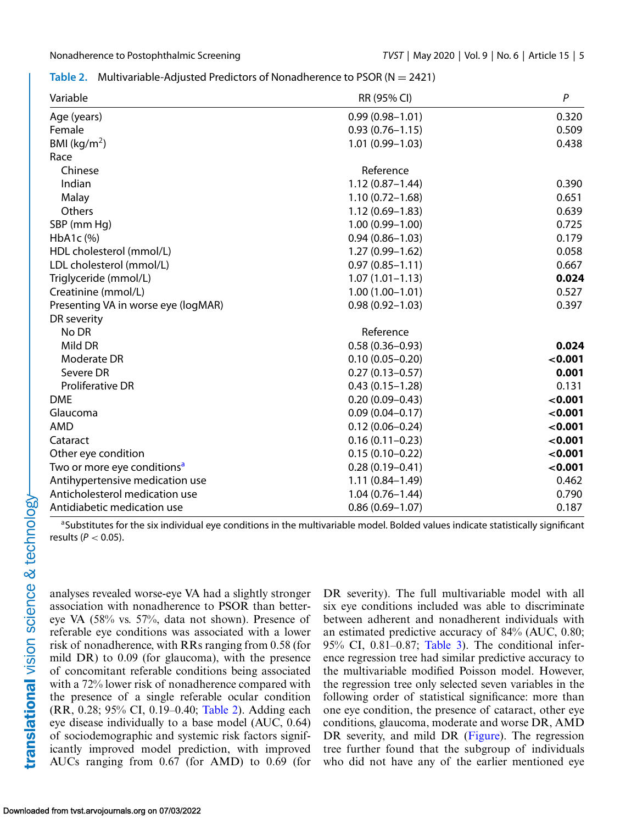#### **Table 2.** Multivariable-Adjusted Predictors of Nonadherence to PSOR (N = 2421)

| Variable                                | RR (95% CI)         | $\boldsymbol{P}$ |
|-----------------------------------------|---------------------|------------------|
| Age (years)                             | $0.99(0.98 - 1.01)$ | 0.320            |
| Female                                  | $0.93(0.76 - 1.15)$ | 0.509            |
| BMI ( $\text{kg/m}^2$ )                 | $1.01(0.99 - 1.03)$ | 0.438            |
| Race                                    |                     |                  |
| Chinese                                 | Reference           |                  |
| Indian                                  | $1.12(0.87 - 1.44)$ | 0.390            |
| Malay                                   | $1.10(0.72 - 1.68)$ | 0.651            |
| Others                                  | $1.12(0.69 - 1.83)$ | 0.639            |
| SBP (mm Hg)                             | $1.00(0.99 - 1.00)$ | 0.725            |
| HbA1c (%)                               | $0.94(0.86 - 1.03)$ | 0.179            |
| HDL cholesterol (mmol/L)                | $1.27(0.99 - 1.62)$ | 0.058            |
| LDL cholesterol (mmol/L)                | $0.97(0.85 - 1.11)$ | 0.667            |
| Triglyceride (mmol/L)                   | $1.07(1.01 - 1.13)$ | 0.024            |
| Creatinine (mmol/L)                     | $1.00(1.00 - 1.01)$ | 0.527            |
| Presenting VA in worse eye (logMAR)     | $0.98(0.92 - 1.03)$ | 0.397            |
| DR severity                             |                     |                  |
| No DR                                   | Reference           |                  |
| Mild DR                                 | $0.58(0.36 - 0.93)$ | 0.024            |
| Moderate DR                             | $0.10(0.05 - 0.20)$ | < 0.001          |
| Severe DR                               | $0.27(0.13 - 0.57)$ | 0.001            |
| <b>Proliferative DR</b>                 | $0.43(0.15 - 1.28)$ | 0.131            |
| <b>DME</b>                              | $0.20(0.09 - 0.43)$ | < 0.001          |
| Glaucoma                                | $0.09(0.04 - 0.17)$ | < 0.001          |
| AMD                                     | $0.12(0.06 - 0.24)$ | < 0.001          |
| Cataract                                | $0.16(0.11 - 0.23)$ | < 0.001          |
| Other eye condition                     | $0.15(0.10 - 0.22)$ | < 0.001          |
| Two or more eye conditions <sup>a</sup> | $0.28(0.19 - 0.41)$ | < 0.001          |
| Antihypertensive medication use         | $1.11(0.84 - 1.49)$ | 0.462            |
| Anticholesterol medication use          | $1.04(0.76 - 1.44)$ | 0.790            |
| Antidiabetic medication use             | $0.86(0.69 - 1.07)$ | 0.187            |

aSubstitutes for the six individual eye conditions in the multivariable model. Bolded values indicate statistically significant

results (*P* < 0.05). analyses revealed worse-eye VA had a slightly stronger

association with nonadherence to PSOR than bettereye VA (58% vs. 57%, data not shown). Presence of referable eye conditions was associated with a lower risk of nonadherence, with RRs ranging from 0.58 (for mild DR) to 0.09 (for glaucoma), with the presence of concomitant referable conditions being associated with a 72% lower risk of nonadherence compared with the presence of a single referable ocular condition (RR, 0.28; 95% CI, 0.19–0.40; Table 2). Adding each eye disease individually to a base model (AUC, 0.64) of sociodemographic and systemic risk factors significantly improved model prediction, with improved AUCs ranging from 0.67 (for AMD) to 0.69 (for DR severity). The full multivariable model with all six eye conditions included was able to discriminate between adherent and nonadherent individuals with an estimated predictive accuracy of 84% (AUC, 0.80; 95% CI, 0.81–0.87; [Table 3\)](#page-5-0). The conditional inference regression tree had similar predictive accuracy to the multivariable modified Poisson model. However, the regression tree only selected seven variables in the following order of statistical significance: more than one eye condition, the presence of cataract, other eye conditions, glaucoma, moderate and worse DR, AMD DR severity, and mild DR [\(Figure\)](#page-5-0). The regression tree further found that the subgroup of individuals who did not have any of the earlier mentioned eye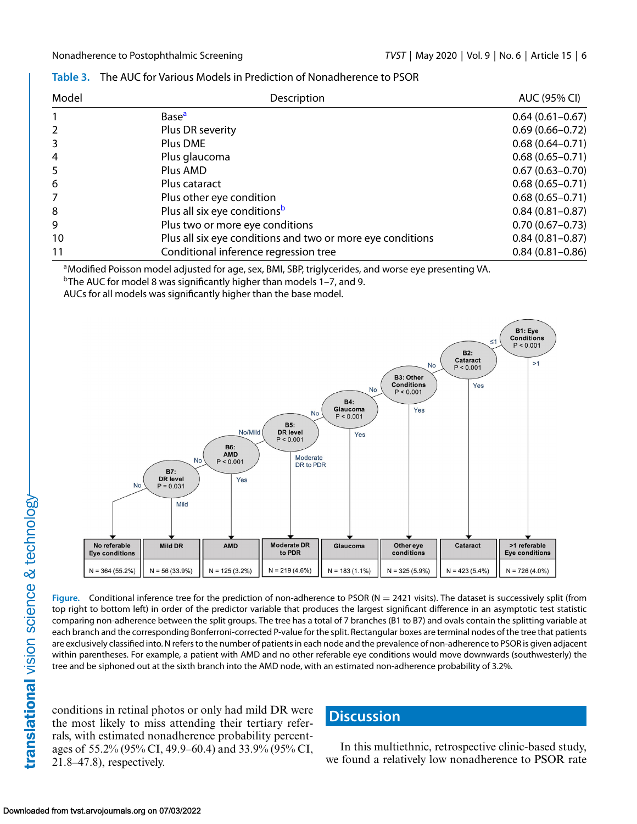<span id="page-5-0"></span>

| Table 3. The AUC for Various Models in Prediction of Nonadherence to PSOR |
|---------------------------------------------------------------------------|
|                                                                           |

| Model | Description                                                | AUC (95% CI)        |
|-------|------------------------------------------------------------|---------------------|
|       | Base <sup>a</sup>                                          | $0.64(0.61 - 0.67)$ |
| 2     | Plus DR severity                                           | $0.69(0.66 - 0.72)$ |
| 3     | Plus DME                                                   | $0.68(0.64 - 0.71)$ |
| 4     | Plus glaucoma                                              | $0.68(0.65 - 0.71)$ |
| 5     | Plus AMD                                                   | $0.67(0.63 - 0.70)$ |
| 6     | Plus cataract                                              | $0.68(0.65 - 0.71)$ |
| 7     | Plus other eye condition                                   | $0.68(0.65 - 0.71)$ |
| 8     | Plus all six eye conditions <sup>b</sup>                   | $0.84(0.81 - 0.87)$ |
| 9     | Plus two or more eye conditions                            | $0.70(0.67 - 0.73)$ |
| 10    | Plus all six eye conditions and two or more eye conditions | $0.84(0.81 - 0.87)$ |
| 11    | Conditional inference regression tree                      | $0.84(0.81 - 0.86)$ |

aModified Poisson model adjusted for age, sex, BMI, SBP, triglycerides, and worse eye presenting VA.

 $b$ The AUC for model 8 was significantly higher than models 1-7, and 9.

AUCs for all models was significantly higher than the base model.



**Figure.** Conditional inference tree for the prediction of non-adherence to PSOR ( $N = 2421$  visits). The dataset is successively split (from top right to bottom left) in order of the predictor variable that produces the largest significant difference in an asymptotic test statistic comparing non-adherence between the split groups. The tree has a total of 7 branches (B1 to B7) and ovals contain the splitting variable at each branch and the corresponding Bonferroni-corrected P-value for the split. Rectangular boxes are terminal nodes of the tree that patients are exclusively classified into. N refers to the number of patients in each node and the prevalence of non-adherence to PSOR is given adjacent within parentheses. For example, a patient with AMD and no other referable eye conditions would move downwards (southwesterly) the tree and be siphoned out at the sixth branch into the AMD node, with an estimated non-adherence probability of 3.2%.

conditions in retinal photos or only had mild DR were the most likely to miss attending their tertiary referrals, with estimated nonadherence probability percentages of 55.2% (95% CI, 49.9–60.4) and 33.9% (95% CI, 21.8–47.8), respectively.

# **Discussion**

In this multiethnic, retrospective clinic-based study, we found a relatively low nonadherence to PSOR rate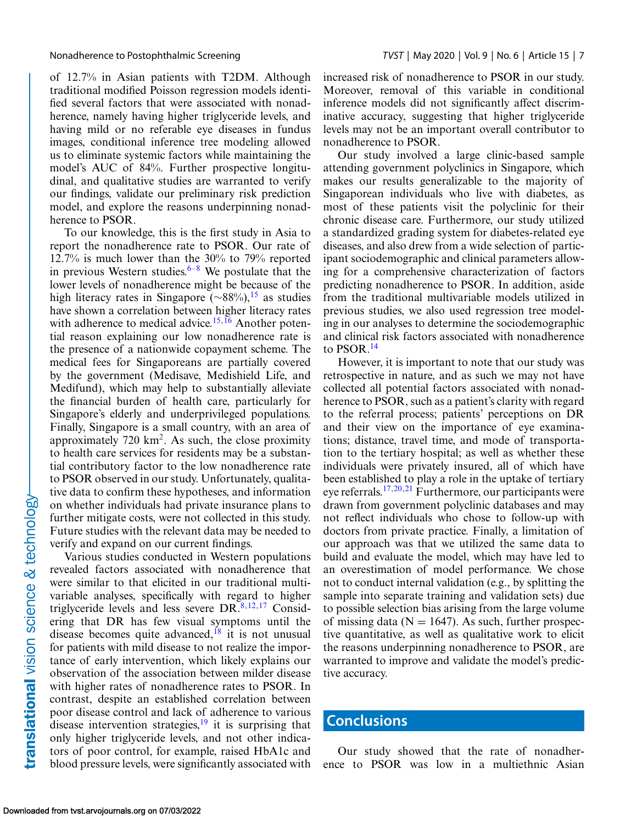of 12.7% in Asian patients with T2DM. Although traditional modified Poisson regression models identified several factors that were associated with nonadherence, namely having higher triglyceride levels, and having mild or no referable eye diseases in fundus images, conditional inference tree modeling allowed us to eliminate systemic factors while maintaining the model's AUC of 84%. Further prospective longitudinal, and qualitative studies are warranted to verify our findings, validate our preliminary risk prediction model, and explore the reasons underpinning nonadherence to PSOR.

To our knowledge, this is the first study in Asia to report the nonadherence rate to PSOR. Our rate of 12.7% is much lower than the 30% to 79% reported in previous Western studies. $6-8$  We postulate that the lower levels of nonadherence might be because of the high literacy rates in Singapore ( $\sim$ 88%),<sup>[15](#page-7-0)</sup> as studies have shown a correlation between higher literacy rates with adherence to medical advice.<sup>[15,16](#page-7-0)</sup> Another potential reason explaining our low nonadherence rate is the presence of a nationwide copayment scheme. The medical fees for Singaporeans are partially covered by the government (Medisave, Medishield Life, and Medifund), which may help to substantially alleviate the financial burden of health care, particularly for Singapore's elderly and underprivileged populations. Finally, Singapore is a small country, with an area of approximately  $720 \text{ km}^2$ . As such, the close proximity to health care services for residents may be a substantial contributory factor to the low nonadherence rate to PSOR observed in our study. Unfortunately, qualitative data to confirm these hypotheses, and information on whether individuals had private insurance plans to further mitigate costs, were not collected in this study. Future studies with the relevant data may be needed to verify and expand on our current findings.

Various studies conducted in Western populations revealed factors associated with nonadherence that were similar to that elicited in our traditional multivariable analyses, specifically with regard to higher triglyceride levels and less severe  $DR^{8,12,17}$  Considering that DR has few visual symptoms until the disease becomes quite advanced,  $^{18}$  it is not unusual for patients with mild disease to not realize the importance of early intervention, which likely explains our observation of the association between milder disease with higher rates of nonadherence rates to PSOR. In contrast, despite an established correlation between poor disease control and lack of adherence to various disease intervention strategies, $19$  it is surprising that only higher triglyceride levels, and not other indicators of poor control, for example, raised HbA1c and blood pressure levels, were significantly associated with

increased risk of nonadherence to PSOR in our study. Moreover, removal of this variable in conditional inference models did not significantly affect discriminative accuracy, suggesting that higher triglyceride levels may not be an important overall contributor to nonadherence to PSOR.

Our study involved a large clinic-based sample attending government polyclinics in Singapore, which makes our results generalizable to the majority of Singaporean individuals who live with diabetes, as most of these patients visit the polyclinic for their chronic disease care. Furthermore, our study utilized a standardized grading system for diabetes-related eye diseases, and also drew from a wide selection of participant sociodemographic and clinical parameters allowing for a comprehensive characterization of factors predicting nonadherence to PSOR. In addition, aside from the traditional multivariable models utilized in previous studies, we also used regression tree modeling in our analyses to determine the sociodemographic and clinical risk factors associated with nonadherence to PSOR.<sup>14</sup>

However, it is important to note that our study was retrospective in nature, and as such we may not have collected all potential factors associated with nonadherence to PSOR, such as a patient's clarity with regard to the referral process; patients' perceptions on DR and their view on the importance of eye examinations; distance, travel time, and mode of transportation to the tertiary hospital; as well as whether these individuals were privately insured, all of which have been established to play a role in the uptake of tertiary eye referrals.[17,](#page-7-0)[20,21](#page-8-0) Furthermore, our participants were drawn from government polyclinic databases and may not reflect individuals who chose to follow-up with doctors from private practice. Finally, a limitation of our approach was that we utilized the same data to build and evaluate the model, which may have led to an overestimation of model performance. We chose not to conduct internal validation (e.g., by splitting the sample into separate training and validation sets) due to possible selection bias arising from the large volume of missing data ( $N = 1647$ ). As such, further prospective quantitative, as well as qualitative work to elicit the reasons underpinning nonadherence to PSOR, are warranted to improve and validate the model's predictive accuracy.

#### **Conclusions**

Our study showed that the rate of nonadherence to PSOR was low in a multiethnic Asian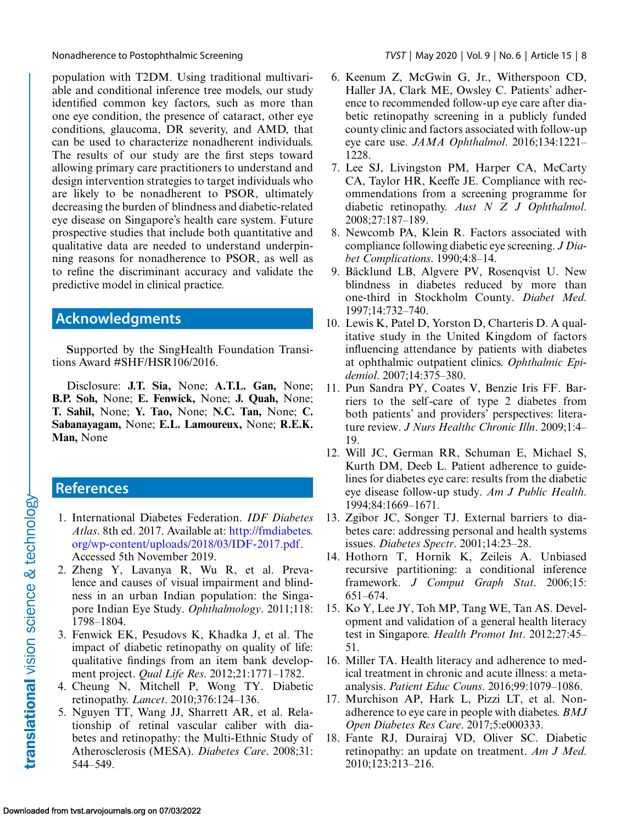<span id="page-7-0"></span>

population with T2DM. Using traditional multivariable and conditional inference tree models, our study identified common key factors, such as more than one eye condition, the presence of cataract, other eye conditions, glaucoma, DR severity, and AMD, that can be used to characterize nonadherent individuals. The results of our study are the first steps toward allowing primary care practitioners to understand and design intervention strategies to target individuals who are likely to be nonadherent to PSOR, ultimately decreasing the burden of blindness and diabetic-related eye disease on Singapore's health care system. Future prospective studies that include both quantitative and qualitative data are needed to understand underpinning reasons for nonadherence to PSOR, as well as to refine the discriminant accuracy and validate the predictive model in clinical practice.

# **Acknowledgments**

**S**upported by the SingHealth Foundation Transitions Award #SHF/HSR106/2016.

Disclosure: **J.T. Sia,** None; **A.T.L. Gan,** None; **B.P. Soh,** None; **E. Fenwick,** None; **J. Quah,** None; **T. Sahil,** None; **Y. Tao,** None; **N.C. Tan,** None; **C. Sabanayagam,** None; **E.L. Lamoureux,** None; **R.E.K. Man,** None

# **References**

- 1. International Diabetes Federation. *IDF Diabetes Atlas*. 8th ed. 2017. Available at: http://fmdiabetes. [org/wp-content/uploads/2018/03/IDF-2017.pdf.](http://fmdiabetes.org/wp-content/uploads/2018/03/IDF-2017.pdf) Accessed 5th November 2019.
- 2. Zheng Y, Lavanya R, Wu R, et al. Prevalence and causes of visual impairment and blindness in an urban Indian population: the Singapore Indian Eye Study. *Ophthalmology*. 2011;118: 1798–1804.
- 3. Fenwick EK, Pesudovs K, Khadka J, et al. The impact of diabetic retinopathy on quality of life: qualitative findings from an item bank development project. *Qual Life Res*. 2012;21:1771–1782.
- 4. Cheung N, Mitchell P, Wong TY. Diabetic retinopathy. *Lancet*. 2010;376:124–136.
- 5. Nguyen TT, Wang JJ, Sharrett AR, et al. Relationship of retinal vascular caliber with diabetes and retinopathy: the Multi-Ethnic Study of Atherosclerosis (MESA). *Diabetes Care*. 2008;31: 544–549.
- 6. Keenum Z, McGwin G, Jr., Witherspoon CD, Haller JA, Clark ME, Owsley C. Patients' adherence to recommended follow-up eye care after diabetic retinopathy screening in a publicly funded county clinic and factors associated with follow-up eye care use. *JAMA Ophthalmol*. 2016;134:1221– 1228.
- 7. Lee SJ, Livingston PM, Harper CA, McCarty CA, Taylor HR, Keeffe JE. Compliance with recommendations from a screening programme for diabetic retinopathy. *Aust N Z J Ophthalmol*. 2008;27:187–189.
- 8. Newcomb PA, Klein R. Factors associated with compliance following diabetic eye screening. *J Diabet Complications*. 1990;4:8–14.
- 9. Bäcklund LB, Algvere PV, Rosenqvist U. New blindness in diabetes reduced by more than one-third in Stockholm County. *Diabet Med*. 1997;14:732–740.
- 10. Lewis K, Patel D, Yorston D, Charteris D. A qualitative study in the United Kingdom of factors influencing attendance by patients with diabetes at ophthalmic outpatient clinics. *Ophthalmic Epidemiol*. 2007;14:375–380.
- 11. Pun Sandra PY, Coates V, Benzie Iris FF. Barriers to the self -care of type 2 diabetes from both patients' and providers' perspectives: literature review. *J Nurs Healthc Chronic Illn*. 2009;1:4– 19.
- 12. Will JC, German RR, Schuman E, Michael S, Kurth DM, Deeb L. Patient adherence to guidelines for diabetes eye care: results from the diabetic eye disease follow-up study. *Am J Public Health*. 1994;84:1669–1671.
- 13. Zgibor JC, Songer TJ. External barriers to diabetes care: addressing personal and health systems issues. *Diabetes Spectr*. 2001;14:23–28.
- 14. Hothorn T, Hornik K, Zeileis A. Unbiased recursive partitioning: a conditional inference framework. *J Comput Graph Stat*. 2006;15: 651–674.
- 15. Ko Y, Lee JY, Toh MP, Tang WE, Tan AS. Development and validation of a general health literacy test in Singapore. *Health Promot Int*. 2012;27:45– 51.
- 16. Miller TA. Health literacy and adherence to medical treatment in chronic and acute illness: a metaanalysis. *Patient Educ Couns*. 2016;99:1079–1086.
- 17. Murchison AP, Hark L, Pizzi LT, et al. Nonadherence to eye care in people with diabetes. *BMJ Open Diabetes Res Care*. 2017;5:e000333.
- 18. Fante RJ, Durairaj VD, Oliver SC. Diabetic retinopathy: an update on treatment. *Am J Med*. 2010;123:213–216.